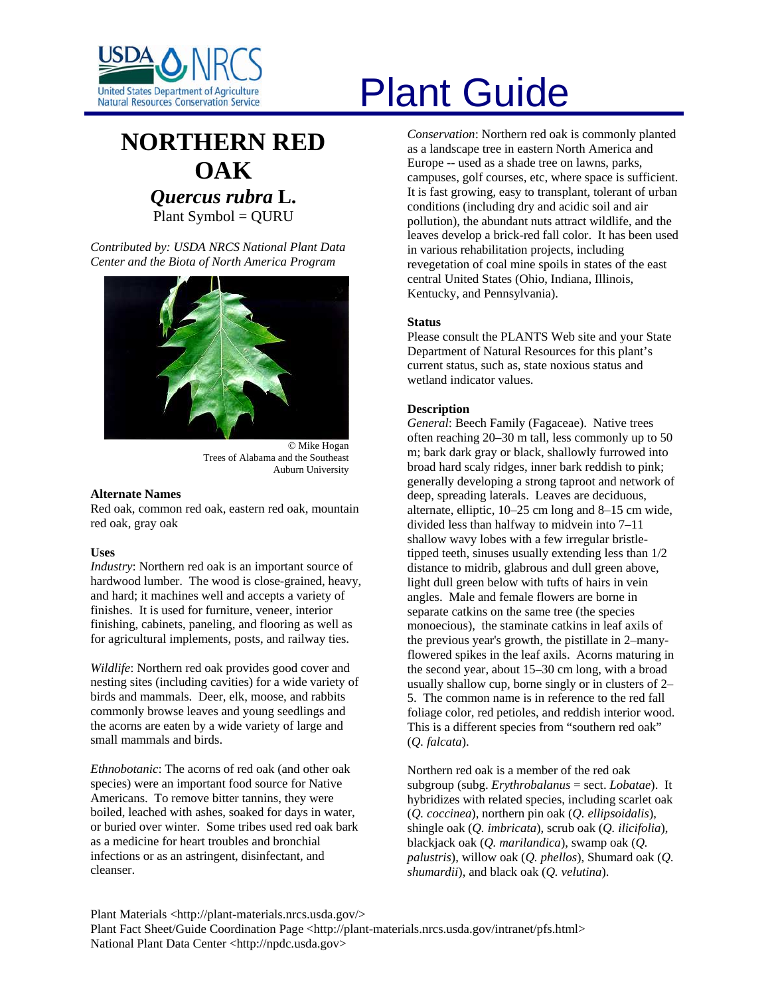

# **NORTHERN RED OAK** *Quercus rubra* **L.**  Plant Symbol = QURU

*Contributed by: USDA NRCS National Plant Data Center and the Biota of North America Program* 



© Mike Hogan Trees of Alabama and the Southeast Auburn University

#### **Alternate Names**

Red oak, common red oak, eastern red oak, mountain red oak, gray oak

# **Uses**

*Industry*: Northern red oak is an important source of hardwood lumber. The wood is close-grained, heavy, and hard; it machines well and accepts a variety of finishes. It is used for furniture, veneer, interior finishing, cabinets, paneling, and flooring as well as for agricultural implements, posts, and railway ties.

*Wildlife*: Northern red oak provides good cover and nesting sites (including cavities) for a wide variety of birds and mammals. Deer, elk, moose, and rabbits commonly browse leaves and young seedlings and the acorns are eaten by a wide variety of large and small mammals and birds.

*Ethnobotanic*: The acorns of red oak (and other oak species) were an important food source for Native Americans. To remove bitter tannins, they were boiled, leached with ashes, soaked for days in water, or buried over winter. Some tribes used red oak bark as a medicine for heart troubles and bronchial infections or as an astringent, disinfectant, and cleanser.

# United States Department of Agriculture<br>Natural Resources Conservation Service

*Conservation*: Northern red oak is commonly planted as a landscape tree in eastern North America and Europe -- used as a shade tree on lawns, parks, campuses, golf courses, etc, where space is sufficient. It is fast growing, easy to transplant, tolerant of urban conditions (including dry and acidic soil and air pollution), the abundant nuts attract wildlife, and the leaves develop a brick-red fall color. It has been used in various rehabilitation projects, including revegetation of coal mine spoils in states of the east central United States (Ohio, Indiana, Illinois, Kentucky, and Pennsylvania).

### **Status**

Please consult the PLANTS Web site and your State Department of Natural Resources for this plant's current status, such as, state noxious status and wetland indicator values.

# **Description**

*General*: Beech Family (Fagaceae). Native trees often reaching 20–30 m tall, less commonly up to 50 m; bark dark gray or black, shallowly furrowed into broad hard scaly ridges, inner bark reddish to pink; generally developing a strong taproot and network of deep, spreading laterals. Leaves are deciduous, alternate, elliptic, 10–25 cm long and 8–15 cm wide, divided less than halfway to midvein into 7–11 shallow wavy lobes with a few irregular bristletipped teeth, sinuses usually extending less than 1/2 distance to midrib, glabrous and dull green above, light dull green below with tufts of hairs in vein angles. Male and female flowers are borne in separate catkins on the same tree (the species monoecious), the staminate catkins in leaf axils of the previous year's growth, the pistillate in 2–manyflowered spikes in the leaf axils. Acorns maturing in the second year, about 15–30 cm long, with a broad usually shallow cup, borne singly or in clusters of 2– 5. The common name is in reference to the red fall foliage color, red petioles, and reddish interior wood. This is a different species from "southern red oak" (*Q. falcata*).

Northern red oak is a member of the red oak subgroup (subg. *Erythrobalanus* = sect. *Lobatae*). It hybridizes with related species, including scarlet oak (*Q. coccinea*), northern pin oak (*Q. ellipsoidalis*), shingle oak (*Q. imbricata*), scrub oak (*Q. ilicifolia*), blackjack oak (*Q. marilandica*), swamp oak (*Q. palustris*), willow oak (*Q. phellos*), Shumard oak (*Q. shumardii*), and black oak (*Q. velutina*).

Plant Materials <http://plant-materials.nrcs.usda.gov/> Plant Fact Sheet/Guide Coordination Page <http://plant-materials.nrcs.usda.gov/intranet/pfs.html> National Plant Data Center <http://npdc.usda.gov>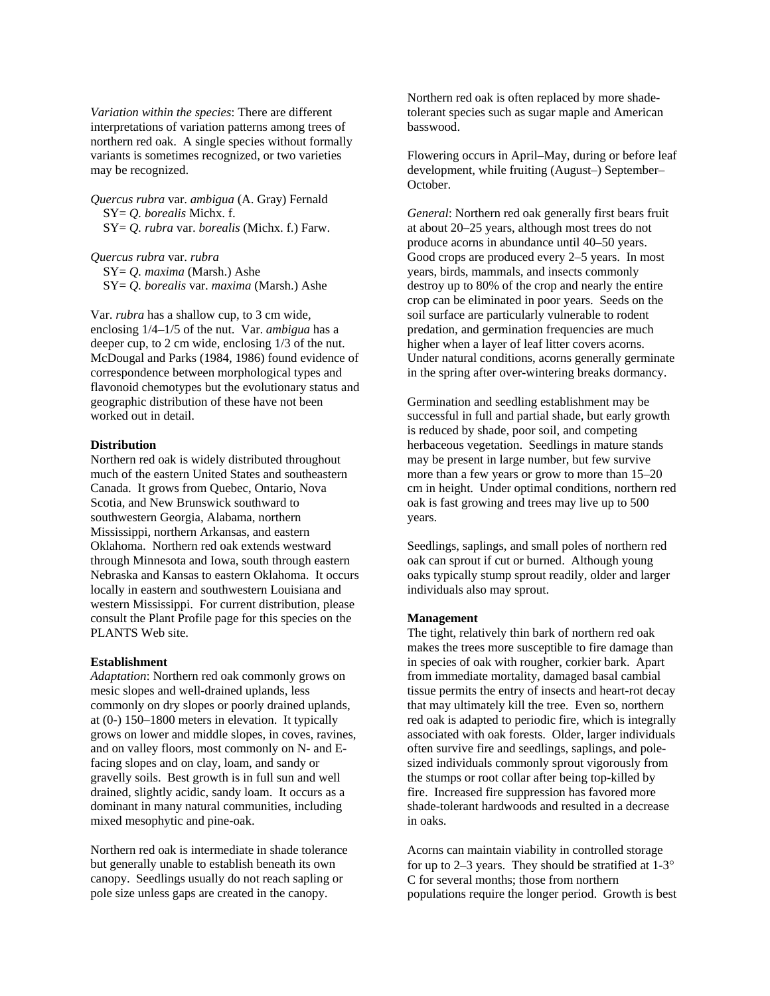*Variation within the species*: There are different interpretations of variation patterns among trees of northern red oak. A single species without formally variants is sometimes recognized, or two varieties may be recognized.

*Quercus rubra* var. *ambigua* (A. Gray) Fernald SY= *Q. borealis* Michx. f. SY= *Q. rubra* var. *borealis* (Michx. f.) Farw.

*Quercus rubra* var. *rubra* SY= *Q. maxima* (Marsh.) Ashe SY= *Q. borealis* var. *maxima* (Marsh.) Ashe

Var. *rubra* has a shallow cup, to 3 cm wide, enclosing 1/4–1/5 of the nut. Var. *ambigua* has a deeper cup, to 2 cm wide, enclosing 1/3 of the nut. McDougal and Parks (1984, 1986) found evidence of correspondence between morphological types and flavonoid chemotypes but the evolutionary status and geographic distribution of these have not been worked out in detail.

#### **Distribution**

Northern red oak is widely distributed throughout much of the eastern United States and southeastern Canada. It grows from Quebec, Ontario, Nova Scotia, and New Brunswick southward to southwestern Georgia, Alabama, northern Mississippi, northern Arkansas, and eastern Oklahoma. Northern red oak extends westward through Minnesota and Iowa, south through eastern Nebraska and Kansas to eastern Oklahoma. It occurs locally in eastern and southwestern Louisiana and western Mississippi. For current distribution, please consult the Plant Profile page for this species on the PLANTS Web site.

#### **Establishment**

*Adaptation*: Northern red oak commonly grows on mesic slopes and well-drained uplands, less commonly on dry slopes or poorly drained uplands, at (0-) 150–1800 meters in elevation. It typically grows on lower and middle slopes, in coves, ravines, and on valley floors, most commonly on N- and Efacing slopes and on clay, loam, and sandy or gravelly soils. Best growth is in full sun and well drained, slightly acidic, sandy loam. It occurs as a dominant in many natural communities, including mixed mesophytic and pine-oak.

Northern red oak is intermediate in shade tolerance but generally unable to establish beneath its own canopy. Seedlings usually do not reach sapling or pole size unless gaps are created in the canopy.

Northern red oak is often replaced by more shadetolerant species such as sugar maple and American basswood.

Flowering occurs in April–May, during or before leaf development, while fruiting (August–) September– October.

*General*: Northern red oak generally first bears fruit at about 20–25 years, although most trees do not produce acorns in abundance until 40–50 years. Good crops are produced every 2–5 years. In most years, birds, mammals, and insects commonly destroy up to 80% of the crop and nearly the entire crop can be eliminated in poor years. Seeds on the soil surface are particularly vulnerable to rodent predation, and germination frequencies are much higher when a layer of leaf litter covers acorns. Under natural conditions, acorns generally germinate in the spring after over-wintering breaks dormancy.

Germination and seedling establishment may be successful in full and partial shade, but early growth is reduced by shade, poor soil, and competing herbaceous vegetation. Seedlings in mature stands may be present in large number, but few survive more than a few years or grow to more than 15–20 cm in height. Under optimal conditions, northern red oak is fast growing and trees may live up to 500 years.

Seedlings, saplings, and small poles of northern red oak can sprout if cut or burned. Although young oaks typically stump sprout readily, older and larger individuals also may sprout.

# **Management**

The tight, relatively thin bark of northern red oak makes the trees more susceptible to fire damage than in species of oak with rougher, corkier bark. Apart from immediate mortality, damaged basal cambial tissue permits the entry of insects and heart-rot decay that may ultimately kill the tree. Even so, northern red oak is adapted to periodic fire, which is integrally associated with oak forests. Older, larger individuals often survive fire and seedlings, saplings, and polesized individuals commonly sprout vigorously from the stumps or root collar after being top-killed by fire. Increased fire suppression has favored more shade-tolerant hardwoods and resulted in a decrease in oaks.

Acorns can maintain viability in controlled storage for up to 2–3 years. They should be stratified at  $1-3^\circ$ C for several months; those from northern populations require the longer period. Growth is best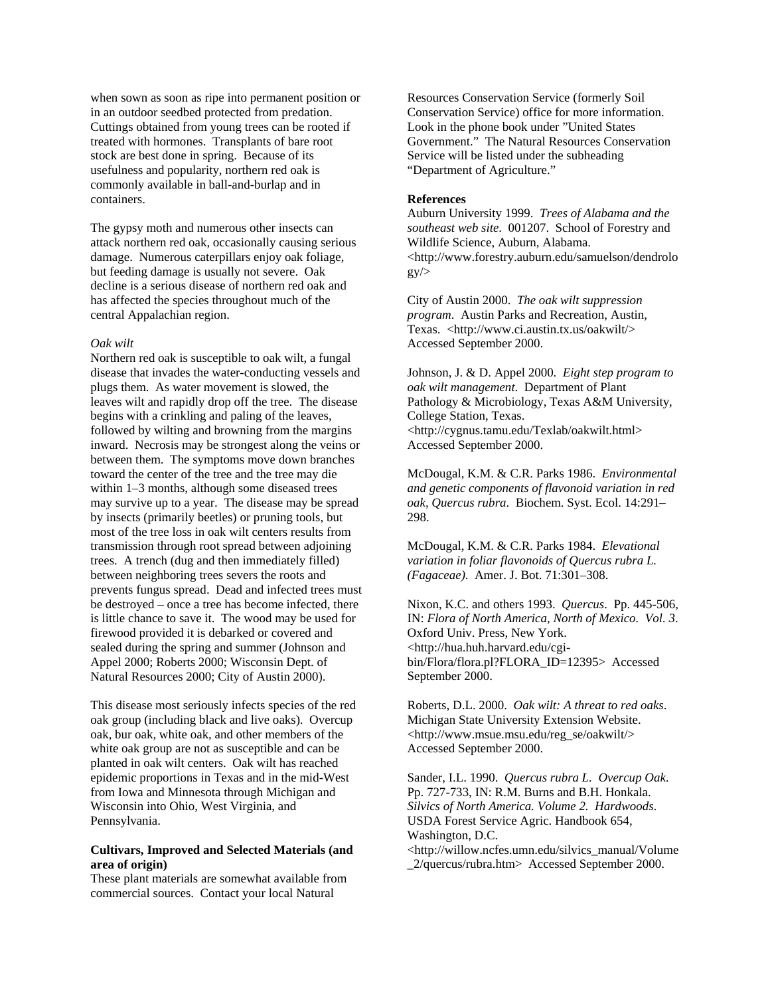when sown as soon as ripe into permanent position or in an outdoor seedbed protected from predation. Cuttings obtained from young trees can be rooted if treated with hormones. Transplants of bare root stock are best done in spring. Because of its usefulness and popularity, northern red oak is commonly available in ball-and-burlap and in containers.

The gypsy moth and numerous other insects can attack northern red oak, occasionally causing serious damage. Numerous caterpillars enjoy oak foliage, but feeding damage is usually not severe. Oak decline is a serious disease of northern red oak and has affected the species throughout much of the central Appalachian region.

#### *Oak wilt*

Northern red oak is susceptible to oak wilt, a fungal disease that invades the water-conducting vessels and plugs them. As water movement is slowed, the leaves wilt and rapidly drop off the tree. The disease begins with a crinkling and paling of the leaves, followed by wilting and browning from the margins inward. Necrosis may be strongest along the veins or between them. The symptoms move down branches toward the center of the tree and the tree may die within 1–3 months, although some diseased trees may survive up to a year. The disease may be spread by insects (primarily beetles) or pruning tools, but most of the tree loss in oak wilt centers results from transmission through root spread between adjoining trees. A trench (dug and then immediately filled) between neighboring trees severs the roots and prevents fungus spread. Dead and infected trees must be destroyed – once a tree has become infected, there is little chance to save it. The wood may be used for firewood provided it is debarked or covered and sealed during the spring and summer (Johnson and Appel 2000; Roberts 2000; Wisconsin Dept. of Natural Resources 2000; City of Austin 2000).

This disease most seriously infects species of the red oak group (including black and live oaks). Overcup oak, bur oak, white oak, and other members of the white oak group are not as susceptible and can be planted in oak wilt centers. Oak wilt has reached epidemic proportions in Texas and in the mid-West from Iowa and Minnesota through Michigan and Wisconsin into Ohio, West Virginia, and Pennsylvania.

## **Cultivars, Improved and Selected Materials (and area of origin)**

These plant materials are somewhat available from commercial sources. Contact your local Natural

Resources Conservation Service (formerly Soil Conservation Service) office for more information. Look in the phone book under "United States Government." The Natural Resources Conservation Service will be listed under the subheading "Department of Agriculture."

#### **References**

Auburn University 1999. *Trees of Alabama and the southeast web site*. 001207. School of Forestry and Wildlife Science, Auburn, Alabama. <http://www.forestry.auburn.edu/samuelson/dendrolo  $gy/$ 

City of Austin 2000. *The oak wilt suppression program*. Austin Parks and Recreation, Austin, Texas. <http://www.ci.austin.tx.us/oakwilt/> Accessed September 2000.

Johnson, J. & D. Appel 2000. *Eight step program to oak wilt management*. Department of Plant Pathology & Microbiology, Texas A&M University, College Station, Texas. <http://cygnus.tamu.edu/Texlab/oakwilt.html> Accessed September 2000.

McDougal, K.M. & C.R. Parks 1986. *Environmental and genetic components of flavonoid variation in red oak, Quercus rubra*. Biochem. Syst. Ecol. 14:291– 298.

McDougal, K.M. & C.R. Parks 1984. *Elevational variation in foliar flavonoids of Quercus rubra L. (Fagaceae)*. Amer. J. Bot. 71:301–308.

Nixon, K.C. and others 1993. *Quercus*. Pp. 445-506, IN: *Flora of North America, North of Mexico. Vol. 3*. Oxford Univ. Press, New York. <http://hua.huh.harvard.edu/cgibin/Flora/flora.pl?FLORA\_ID=12395> Accessed September 2000.

Roberts, D.L. 2000. *Oak wilt: A threat to red oaks*. Michigan State University Extension Website. <http://www.msue.msu.edu/reg\_se/oakwilt/> Accessed September 2000.

Sander, I.L. 1990. *Quercus rubra L. Overcup Oak*. Pp. 727-733, IN: R.M. Burns and B.H. Honkala. *Silvics of North America. Volume 2. Hardwoods*. USDA Forest Service Agric. Handbook 654, Washington, D.C.

<http://willow.ncfes.umn.edu/silvics\_manual/Volume \_2/quercus/rubra.htm> Accessed September 2000.